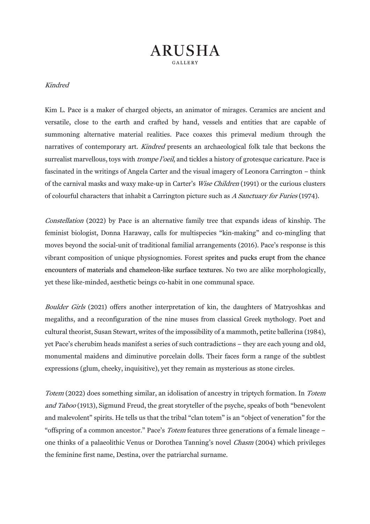## **ARUSHA**

## Kindred

Kim L. Pace is a maker of charged objects, an animator of mirages. Ceramics are ancient and versatile, close to the earth and crafted by hand, vessels and entities that are capable of summoning alternative material realities. Pace coaxes this primeval medium through the narratives of contemporary art. *Kindred* presents an archaeological folk tale that beckons the surrealist marvellous, toys with *trompe l'oeil*, and tickles a history of grotesque caricature. Pace is fascinated in the writings of Angela Carter and the visual imagery of Leonora Carrington – think of the carnival masks and waxy make-up in Carter's Wise Children (1991) or the curious clusters of colourful characters that inhabit a Carrington picture such as A Sanctuary for Furies (1974).

Constellation (2022) by Pace is an alternative family tree that expands ideas of kinship. The feminist biologist, Donna Haraway, calls for multispecies "kin-making" and co-mingling that moves beyond the social-unit of traditional familial arrangements (2016). Pace's response is this vibrant composition of unique physiognomies. Forest sprites and pucks erupt from the chance encounters of materials and chameleon-like surface textures. No two are alike morphologically, yet these like-minded, aesthetic beings co-habit in one communal space.

Boulder Girls (2021) offers another interpretation of kin, the daughters of Matryoshkas and megaliths, and a reconfiguration of the nine muses from classical Greek mythology. Poet and cultural theorist, Susan Stewart, writes of the impossibility of a mammoth, petite ballerina (1984), yet Pace's cherubim heads manifest a series of such contradictions – they are each young and old, monumental maidens and diminutive porcelain dolls. Their faces form a range of the subtlest expressions (glum, cheeky, inquisitive), yet they remain as mysterious as stone circles.

Totem (2022) does something similar, an idolisation of ancestry in triptych formation. In Totem and Taboo (1913), Sigmund Freud, the great storyteller of the psyche, speaks of both "benevolent and malevolent" spirits. He tells us that the tribal "clan totem" is an "object of veneration" for the "offspring of a common ancestor." Pace's Totem features three generations of a female lineage – one thinks of a palaeolithic Venus or Dorothea Tanning's novel Chasm (2004) which privileges the feminine first name, Destina, over the patriarchal surname.